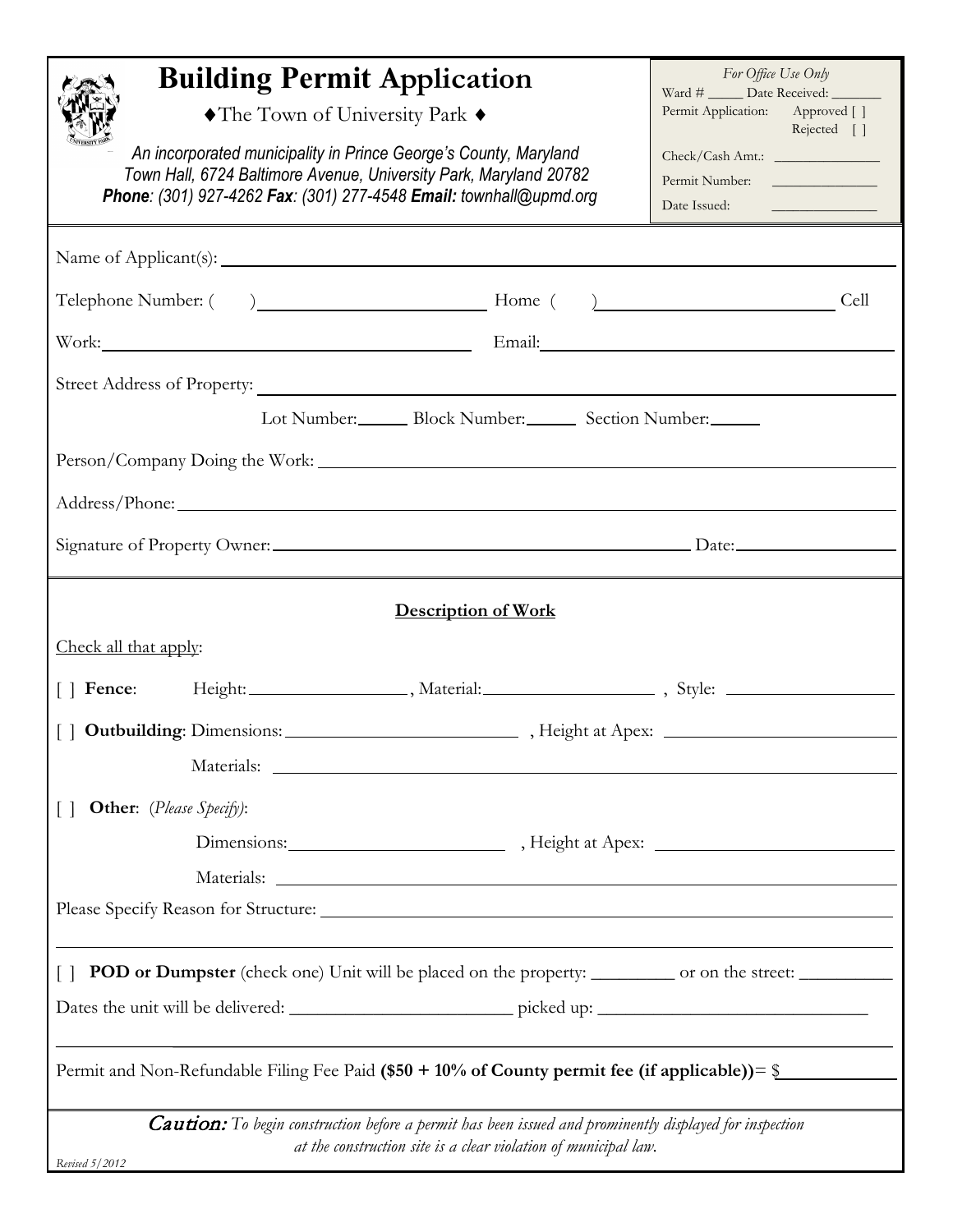| <b>Building Permit Application</b><br>◆ The Town of University Park ◆                                                                                                                                              | For Office Use Only<br>Ward # ______ Date Received: _______<br>Permit Application: Approved []<br><b>Example 2</b> Rejected [1] |
|--------------------------------------------------------------------------------------------------------------------------------------------------------------------------------------------------------------------|---------------------------------------------------------------------------------------------------------------------------------|
| An incorporated municipality in Prince George's County, Maryland<br>Town Hall, 6724 Baltimore Avenue, University Park, Maryland 20782<br><b>Phone:</b> (301) 927-4262 Fax: (301) 277-4548 Email: townhall@upmd.org |                                                                                                                                 |
|                                                                                                                                                                                                                    |                                                                                                                                 |
|                                                                                                                                                                                                                    | Cell                                                                                                                            |
|                                                                                                                                                                                                                    |                                                                                                                                 |
|                                                                                                                                                                                                                    |                                                                                                                                 |
| Lot Number: Block Number: Section Number:                                                                                                                                                                          |                                                                                                                                 |
|                                                                                                                                                                                                                    |                                                                                                                                 |
|                                                                                                                                                                                                                    |                                                                                                                                 |
|                                                                                                                                                                                                                    |                                                                                                                                 |
| <b>Description of Work</b>                                                                                                                                                                                         |                                                                                                                                 |
| Check all that apply:                                                                                                                                                                                              |                                                                                                                                 |
|                                                                                                                                                                                                                    |                                                                                                                                 |
|                                                                                                                                                                                                                    |                                                                                                                                 |
| <b>Other:</b> (Please Specify):                                                                                                                                                                                    |                                                                                                                                 |
|                                                                                                                                                                                                                    |                                                                                                                                 |
|                                                                                                                                                                                                                    |                                                                                                                                 |
|                                                                                                                                                                                                                    |                                                                                                                                 |
| POD or Dumpster (check one) Unit will be placed on the property: _________ or on the street: _______<br>$\Box$                                                                                                     |                                                                                                                                 |
|                                                                                                                                                                                                                    |                                                                                                                                 |
| Permit and Non-Refundable Filing Fee Paid (\$50 + 10% of County permit fee (if applicable))= $\frac{1}{2}$                                                                                                         |                                                                                                                                 |
| <b>Caution:</b> To begin construction before a permit has been issued and prominently displayed for inspection<br>at the construction site is a clear violation of municipal law.<br>Revised 5/2012                |                                                                                                                                 |